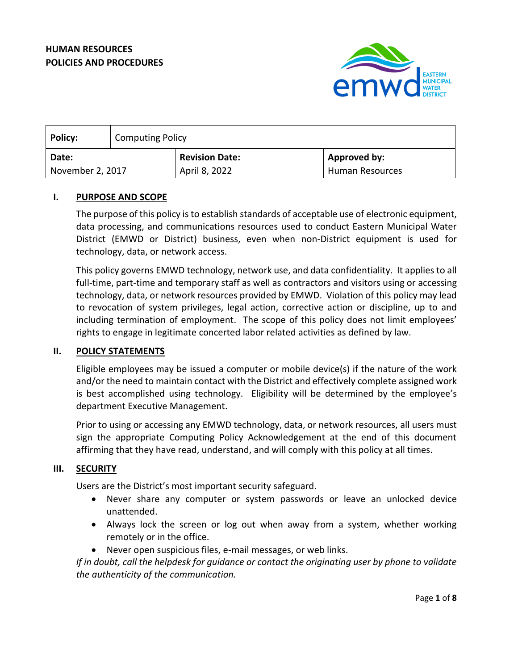

| <b>Policy:</b>   | <b>Computing Policy</b> |                       |                        |
|------------------|-------------------------|-----------------------|------------------------|
| Date:            |                         | <b>Revision Date:</b> | <b>Approved by:</b>    |
| November 2, 2017 |                         | April 8, 2022         | <b>Human Resources</b> |

# **I. PURPOSE AND SCOPE**

The purpose of this policy is to establish standards of acceptable use of electronic equipment, data processing, and communications resources used to conduct Eastern Municipal Water District (EMWD or District) business, even when non-District equipment is used for technology, data, or network access.

This policy governs EMWD technology, network use, and data confidentiality. It applies to all full-time, part-time and temporary staff as well as contractors and visitors using or accessing technology, data, or network resources provided by EMWD. Violation of this policy may lead to revocation of system privileges, legal action, corrective action or discipline, up to and including termination of employment. The scope of this policy does not limit employees' rights to engage in legitimate concerted labor related activities as defined by law.

# **II. POLICY STATEMENTS**

Eligible employees may be issued a computer or mobile device(s) if the nature of the work and/or the need to maintain contact with the District and effectively complete assigned work is best accomplished using technology. Eligibility will be determined by the employee's department Executive Management.

Prior to using or accessing any EMWD technology, data, or network resources, all users must sign the appropriate Computing Policy Acknowledgement at the end of this document affirming that they have read, understand, and will comply with this policy at all times.

### **III. SECURITY**

Users are the District's most important security safeguard.

- Never share any computer or system passwords or leave an unlocked device unattended.
- Always lock the screen or log out when away from a system, whether working remotely or in the office.
- Never open suspicious files, e-mail messages, or web links.

*If in doubt, call the helpdesk for guidance or contact the originating user by phone to validate the authenticity of the communication.*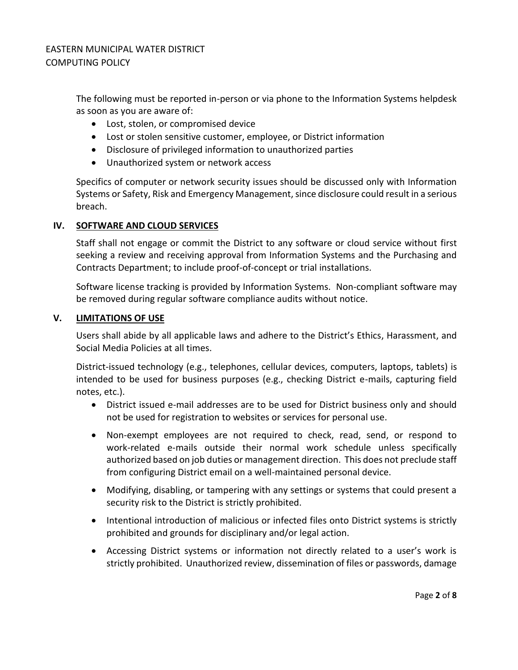The following must be reported in-person or via phone to the Information Systems helpdesk as soon as you are aware of:

- Lost, stolen, or compromised device
- Lost or stolen sensitive customer, employee, or District information
- Disclosure of privileged information to unauthorized parties
- Unauthorized system or network access

Specifics of computer or network security issues should be discussed only with Information Systems or Safety, Risk and Emergency Management, since disclosure could result in a serious breach.

# **IV. SOFTWARE AND CLOUD SERVICES**

Staff shall not engage or commit the District to any software or cloud service without first seeking a review and receiving approval from Information Systems and the Purchasing and Contracts Department; to include proof-of-concept or trial installations.

Software license tracking is provided by Information Systems. Non-compliant software may be removed during regular software compliance audits without notice.

## **V. LIMITATIONS OF USE**

Users shall abide by all applicable laws and adhere to the District's Ethics, Harassment, and Social Media Policies at all times.

District-issued technology (e.g., telephones, cellular devices, computers, laptops, tablets) is intended to be used for business purposes (e.g., checking District e-mails, capturing field notes, etc.).

- District issued e-mail addresses are to be used for District business only and should not be used for registration to websites or services for personal use.
- Non-exempt employees are not required to check, read, send, or respond to work-related e-mails outside their normal work schedule unless specifically authorized based on job duties or management direction. This does not preclude staff from configuring District email on a well-maintained personal device.
- Modifying, disabling, or tampering with any settings or systems that could present a security risk to the District is strictly prohibited.
- Intentional introduction of malicious or infected files onto District systems is strictly prohibited and grounds for disciplinary and/or legal action.
- Accessing District systems or information not directly related to a user's work is strictly prohibited. Unauthorized review, dissemination of files or passwords, damage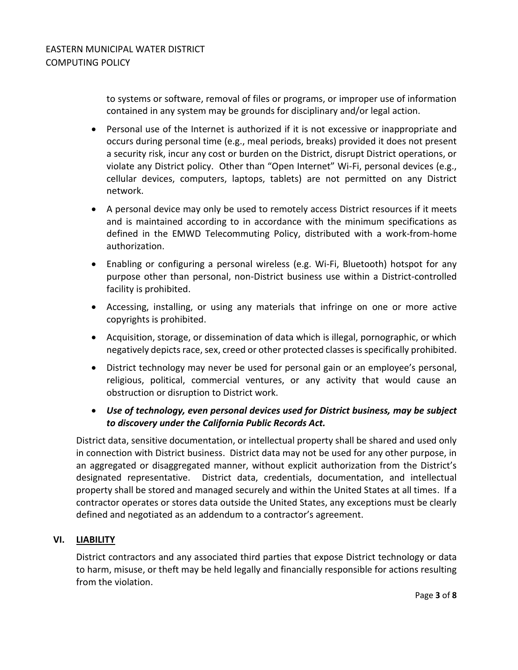to systems or software, removal of files or programs, or improper use of information contained in any system may be grounds for disciplinary and/or legal action.

- Personal use of the Internet is authorized if it is not excessive or inappropriate and occurs during personal time (e.g., meal periods, breaks) provided it does not present a security risk, incur any cost or burden on the District, disrupt District operations, or violate any District policy. Other than "Open Internet" Wi-Fi, personal devices (e.g., cellular devices, computers, laptops, tablets) are not permitted on any District network.
- A personal device may only be used to remotely access District resources if it meets and is maintained according to in accordance with the minimum specifications as defined in the EMWD Telecommuting Policy, distributed with a work-from-home authorization.
- Enabling or configuring a personal wireless (e.g. Wi-Fi, Bluetooth) hotspot for any purpose other than personal, non-District business use within a District-controlled facility is prohibited.
- Accessing, installing, or using any materials that infringe on one or more active copyrights is prohibited.
- Acquisition, storage, or dissemination of data which is illegal, pornographic, or which negatively depicts race, sex, creed or other protected classes is specifically prohibited.
- District technology may never be used for personal gain or an employee's personal, religious, political, commercial ventures, or any activity that would cause an obstruction or disruption to District work.
- *Use of technology, even personal devices used for District business, may be subject to discovery under the California Public Records Act.*

District data, sensitive documentation, or intellectual property shall be shared and used only in connection with District business. District data may not be used for any other purpose, in an aggregated or disaggregated manner, without explicit authorization from the District's designated representative. District data, credentials, documentation, and intellectual property shall be stored and managed securely and within the United States at all times. If a contractor operates or stores data outside the United States, any exceptions must be clearly defined and negotiated as an addendum to a contractor's agreement.

# **VI. LIABILITY**

District contractors and any associated third parties that expose District technology or data to harm, misuse, or theft may be held legally and financially responsible for actions resulting from the violation.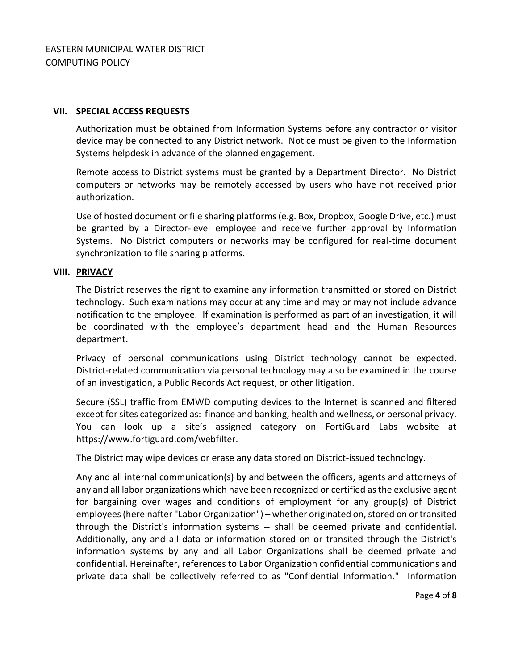## **VII. SPECIAL ACCESS REQUESTS**

Authorization must be obtained from Information Systems before any contractor or visitor device may be connected to any District network. Notice must be given to the Information Systems helpdesk in advance of the planned engagement.

Remote access to District systems must be granted by a Department Director. No District computers or networks may be remotely accessed by users who have not received prior authorization.

Use of hosted document or file sharing platforms (e.g. Box, Dropbox, Google Drive, etc.) must be granted by a Director-level employee and receive further approval by Information Systems. No District computers or networks may be configured for real-time document synchronization to file sharing platforms.

## **VIII. PRIVACY**

The District reserves the right to examine any information transmitted or stored on District technology. Such examinations may occur at any time and may or may not include advance notification to the employee. If examination is performed as part of an investigation, it will be coordinated with the employee's department head and the Human Resources department.

Privacy of personal communications using District technology cannot be expected. District-related communication via personal technology may also be examined in the course of an investigation, a Public Records Act request, or other litigation.

Secure (SSL) traffic from EMWD computing devices to the Internet is scanned and filtered except for sites categorized as: finance and banking, health and wellness, or personal privacy. You can look up a site's assigned category on FortiGuard Labs website at https://www.fortiguard.com/webfilter.

The District may wipe devices or erase any data stored on District-issued technology.

Any and all internal communication(s) by and between the officers, agents and attorneys of any and all labor organizations which have been recognized or certified as the exclusive agent for bargaining over wages and conditions of employment for any group(s) of District employees (hereinafter "Labor Organization") – whether originated on, stored on or transited through the District's information systems -- shall be deemed private and confidential. Additionally, any and all data or information stored on or transited through the District's information systems by any and all Labor Organizations shall be deemed private and confidential. Hereinafter, references to Labor Organization confidential communications and private data shall be collectively referred to as "Confidential Information." Information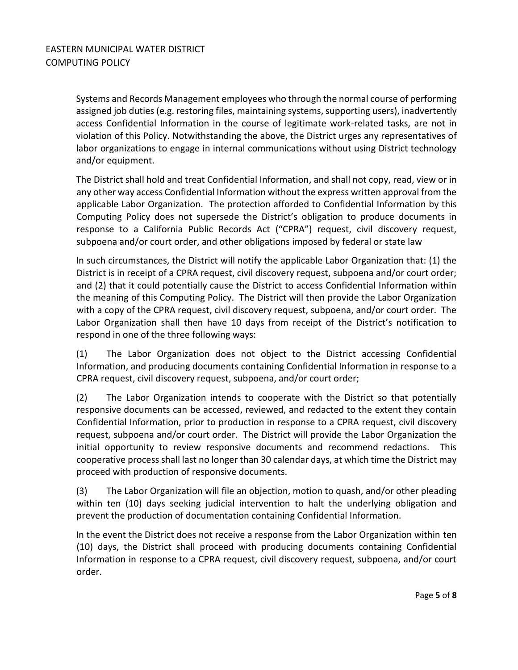Systems and Records Management employees who through the normal course of performing assigned job duties (e.g. restoring files, maintaining systems, supporting users), inadvertently access Confidential Information in the course of legitimate work-related tasks, are not in violation of this Policy. Notwithstanding the above, the District urges any representatives of labor organizations to engage in internal communications without using District technology and/or equipment.

The District shall hold and treat Confidential Information, and shall not copy, read, view or in any other way access Confidential Information without the express written approval from the applicable Labor Organization. The protection afforded to Confidential Information by this Computing Policy does not supersede the District's obligation to produce documents in response to a California Public Records Act ("CPRA") request, civil discovery request, subpoena and/or court order, and other obligations imposed by federal or state law

In such circumstances, the District will notify the applicable Labor Organization that: (1) the District is in receipt of a CPRA request, civil discovery request, subpoena and/or court order; and (2) that it could potentially cause the District to access Confidential Information within the meaning of this Computing Policy. The District will then provide the Labor Organization with a copy of the CPRA request, civil discovery request, subpoena, and/or court order. The Labor Organization shall then have 10 days from receipt of the District's notification to respond in one of the three following ways:

(1) The Labor Organization does not object to the District accessing Confidential Information, and producing documents containing Confidential Information in response to a CPRA request, civil discovery request, subpoena, and/or court order;

(2) The Labor Organization intends to cooperate with the District so that potentially responsive documents can be accessed, reviewed, and redacted to the extent they contain Confidential Information, prior to production in response to a CPRA request, civil discovery request, subpoena and/or court order. The District will provide the Labor Organization the initial opportunity to review responsive documents and recommend redactions. This cooperative process shall last no longer than 30 calendar days, at which time the District may proceed with production of responsive documents.

(3) The Labor Organization will file an objection, motion to quash, and/or other pleading within ten (10) days seeking judicial intervention to halt the underlying obligation and prevent the production of documentation containing Confidential Information.

In the event the District does not receive a response from the Labor Organization within ten (10) days, the District shall proceed with producing documents containing Confidential Information in response to a CPRA request, civil discovery request, subpoena, and/or court order.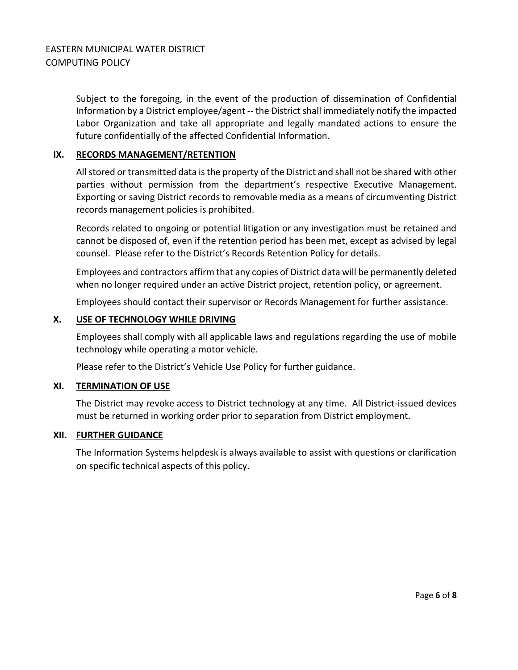Subject to the foregoing, in the event of the production of dissemination of Confidential Information by a District employee/agent -- the District shall immediately notify the impacted Labor Organization and take all appropriate and legally mandated actions to ensure the future confidentially of the affected Confidential Information.

## **IX. RECORDS MANAGEMENT/RETENTION**

All stored or transmitted data is the property of the District and shall not be shared with other parties without permission from the department's respective Executive Management. Exporting or saving District records to removable media as a means of circumventing District records management policies is prohibited.

Records related to ongoing or potential litigation or any investigation must be retained and cannot be disposed of, even if the retention period has been met, except as advised by legal counsel. Please refer to the District's Records Retention Policy for details.

Employees and contractors affirm that any copies of District data will be permanently deleted when no longer required under an active District project, retention policy, or agreement.

Employees should contact their supervisor or Records Management for further assistance.

### **X. USE OF TECHNOLOGY WHILE DRIVING**

Employees shall comply with all applicable laws and regulations regarding the use of mobile technology while operating a motor vehicle.

Please refer to the District's Vehicle Use Policy for further guidance.

### **XI. TERMINATION OF USE**

The District may revoke access to District technology at any time. All District-issued devices must be returned in working order prior to separation from District employment.

### **XII. FURTHER GUIDANCE**

The Information Systems helpdesk is always available to assist with questions or clarification on specific technical aspects of this policy.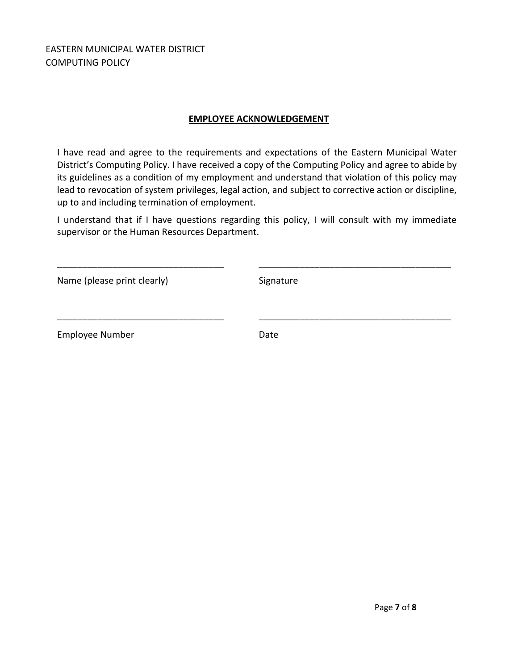EASTERN MUNICIPAL WATER DISTRICT COMPUTING POLICY

# **EMPLOYEE ACKNOWLEDGEMENT**

I have read and agree to the requirements and expectations of the Eastern Municipal Water District's Computing Policy. I have received a copy of the Computing Policy and agree to abide by its guidelines as a condition of my employment and understand that violation of this policy may lead to revocation of system privileges, legal action, and subject to corrective action or discipline, up to and including termination of employment.

I understand that if I have questions regarding this policy, I will consult with my immediate supervisor or the Human Resources Department.

\_\_\_\_\_\_\_\_\_\_\_\_\_\_\_\_\_\_\_\_\_\_\_\_\_\_\_\_\_\_\_\_\_ \_\_\_\_\_\_\_\_\_\_\_\_\_\_\_\_\_\_\_\_\_\_\_\_\_\_\_\_\_\_\_\_\_\_\_\_\_\_

\_\_\_\_\_\_\_\_\_\_\_\_\_\_\_\_\_\_\_\_\_\_\_\_\_\_\_\_\_\_\_\_\_ \_\_\_\_\_\_\_\_\_\_\_\_\_\_\_\_\_\_\_\_\_\_\_\_\_\_\_\_\_\_\_\_\_\_\_\_\_\_

Name (please print clearly) Signature

Employee Number Date